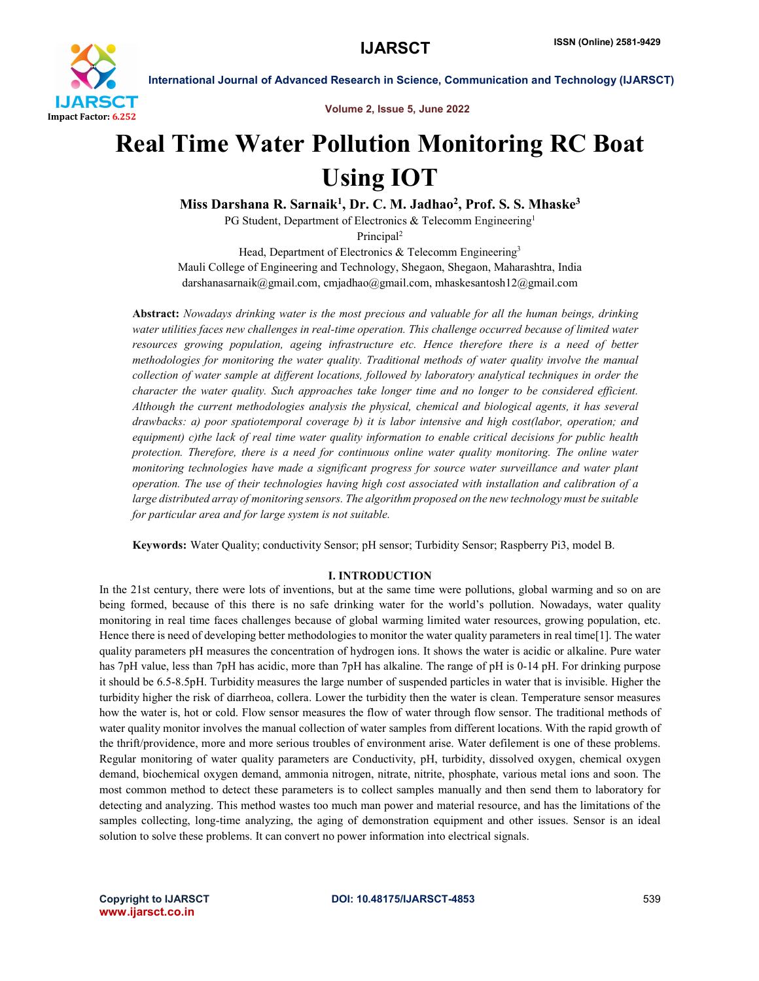

Volume 2, Issue 5, June 2022

# Real Time Water Pollution Monitoring RC Boat Using IOT

Miss Darshana R. Sarnaik<sup>1</sup>, Dr. C. M. Jadhao<sup>2</sup>, Prof. S. S. Mhaske<sup>3</sup>

PG Student, Department of Electronics & Telecomm Engineering<sup>1</sup>

Principal<sup>2</sup>

Head, Department of Electronics & Telecomm Engineering<sup>3</sup> Mauli College of Engineering and Technology, Shegaon, Shegaon, Maharashtra, India darshanasarnaik@gmail.com, cmjadhao@gmail.com, mhaskesantosh12@gmail.com

Abstract: *Nowadays drinking water is the most precious and valuable for all the human beings, drinking water utilities faces new challenges in real-time operation. This challenge occurred because of limited water resources growing population, ageing infrastructure etc. Hence therefore there is a need of better methodologies for monitoring the water quality. Traditional methods of water quality involve the manual collection of water sample at different locations, followed by laboratory analytical techniques in order the character the water quality. Such approaches take longer time and no longer to be considered efficient. Although the current methodologies analysis the physical, chemical and biological agents, it has several drawbacks: a) poor spatiotemporal coverage b) it is labor intensive and high cost(labor, operation; and equipment) c)the lack of real time water quality information to enable critical decisions for public health protection. Therefore, there is a need for continuous online water quality monitoring. The online water monitoring technologies have made a significant progress for source water surveillance and water plant operation. The use of their technologies having high cost associated with installation and calibration of a large distributed array of monitoring sensors. The algorithm proposed on the new technology must be suitable for particular area and for large system is not suitable.*

Keywords: Water Quality; conductivity Sensor; pH sensor; Turbidity Sensor; Raspberry Pi3, model B.

# I. INTRODUCTION

In the 21st century, there were lots of inventions, but at the same time were pollutions, global warming and so on are being formed, because of this there is no safe drinking water for the world's pollution. Nowadays, water quality monitoring in real time faces challenges because of global warming limited water resources, growing population, etc. Hence there is need of developing better methodologies to monitor the water quality parameters in real time[1]. The water quality parameters pH measures the concentration of hydrogen ions. It shows the water is acidic or alkaline. Pure water has 7pH value, less than 7pH has acidic, more than 7pH has alkaline. The range of pH is 0-14 pH. For drinking purpose it should be 6.5-8.5pH. Turbidity measures the large number of suspended particles in water that is invisible. Higher the turbidity higher the risk of diarrheoa, collera. Lower the turbidity then the water is clean. Temperature sensor measures how the water is, hot or cold. Flow sensor measures the flow of water through flow sensor. The traditional methods of water quality monitor involves the manual collection of water samples from different locations. With the rapid growth of the thrift/providence, more and more serious troubles of environment arise. Water defilement is one of these problems. Regular monitoring of water quality parameters are Conductivity, pH, turbidity, dissolved oxygen, chemical oxygen demand, biochemical oxygen demand, ammonia nitrogen, nitrate, nitrite, phosphate, various metal ions and soon. The most common method to detect these parameters is to collect samples manually and then send them to laboratory for detecting and analyzing. This method wastes too much man power and material resource, and has the limitations of the samples collecting, long-time analyzing, the aging of demonstration equipment and other issues. Sensor is an ideal solution to solve these problems. It can convert no power information into electrical signals.

www.ijarsct.co.in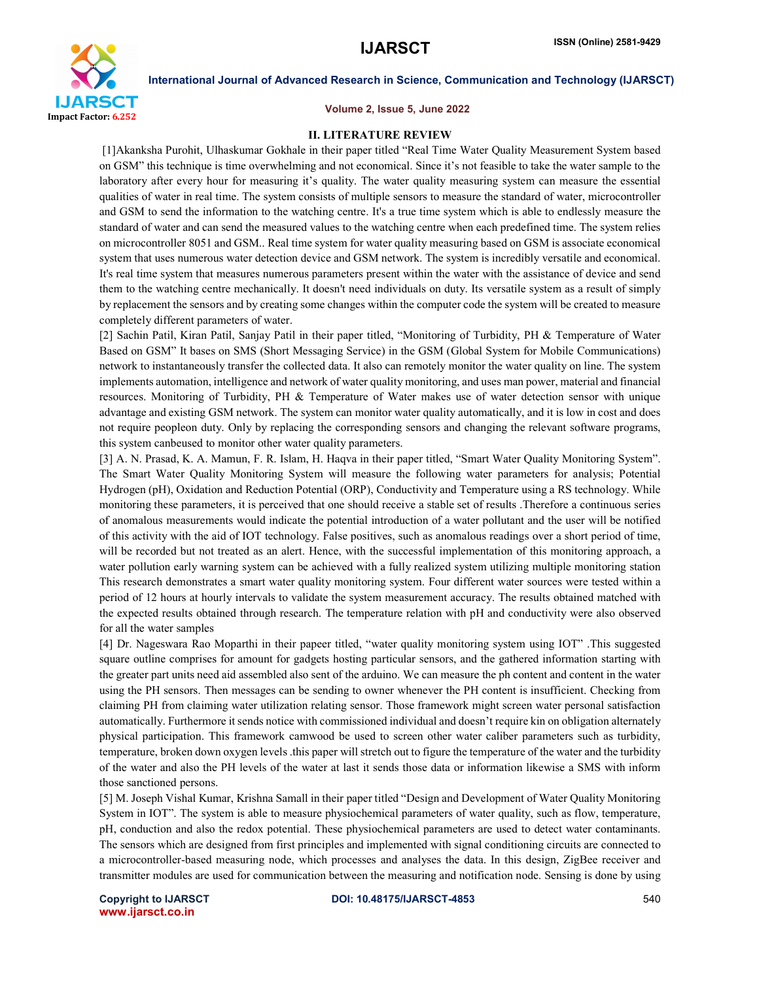

### Volume 2, Issue 5, June 2022

### II. LITERATURE REVIEW

[1]Akanksha Purohit, Ulhaskumar Gokhale in their paper titled "Real Time Water Quality Measurement System based on GSM" this technique is time overwhelming and not economical. Since it's not feasible to take the water sample to the laboratory after every hour for measuring it's quality. The water quality measuring system can measure the essential qualities of water in real time. The system consists of multiple sensors to measure the standard of water, microcontroller and GSM to send the information to the watching centre. It's a true time system which is able to endlessly measure the standard of water and can send the measured values to the watching centre when each predefined time. The system relies on microcontroller 8051 and GSM.. Real time system for water quality measuring based on GSM is associate economical system that uses numerous water detection device and GSM network. The system is incredibly versatile and economical. It's real time system that measures numerous parameters present within the water with the assistance of device and send them to the watching centre mechanically. It doesn't need individuals on duty. Its versatile system as a result of simply by replacement the sensors and by creating some changes within the computer code the system will be created to measure completely different parameters of water.

[2] Sachin Patil, Kiran Patil, Sanjay Patil in their paper titled, "Monitoring of Turbidity, PH & Temperature of Water Based on GSM" It bases on SMS (Short Messaging Service) in the GSM (Global System for Mobile Communications) network to instantaneously transfer the collected data. It also can remotely monitor the water quality on line. The system implements automation, intelligence and network of water quality monitoring, and uses man power, material and financial resources. Monitoring of Turbidity, PH & Temperature of Water makes use of water detection sensor with unique advantage and existing GSM network. The system can monitor water quality automatically, and it is low in cost and does not require peopleon duty. Only by replacing the corresponding sensors and changing the relevant software programs, this system canbeused to monitor other water quality parameters.

[3] A. N. Prasad, K. A. Mamun, F. R. Islam, H. Haqva in their paper titled, "Smart Water Quality Monitoring System". The Smart Water Quality Monitoring System will measure the following water parameters for analysis; Potential Hydrogen (pH), Oxidation and Reduction Potential (ORP), Conductivity and Temperature using a RS technology. While monitoring these parameters, it is perceived that one should receive a stable set of results .Therefore a continuous series of anomalous measurements would indicate the potential introduction of a water pollutant and the user will be notified of this activity with the aid of IOT technology. False positives, such as anomalous readings over a short period of time, will be recorded but not treated as an alert. Hence, with the successful implementation of this monitoring approach, a water pollution early warning system can be achieved with a fully realized system utilizing multiple monitoring station This research demonstrates a smart water quality monitoring system. Four different water sources were tested within a period of 12 hours at hourly intervals to validate the system measurement accuracy. The results obtained matched with the expected results obtained through research. The temperature relation with pH and conductivity were also observed for all the water samples

[4] Dr. Nageswara Rao Moparthi in their papeer titled, "water quality monitoring system using IOT" .This suggested square outline comprises for amount for gadgets hosting particular sensors, and the gathered information starting with the greater part units need aid assembled also sent of the arduino. We can measure the ph content and content in the water using the PH sensors. Then messages can be sending to owner whenever the PH content is insufficient. Checking from claiming PH from claiming water utilization relating sensor. Those framework might screen water personal satisfaction automatically. Furthermore it sends notice with commissioned individual and doesn't require kin on obligation alternately physical participation. This framework camwood be used to screen other water caliber parameters such as turbidity, temperature, broken down oxygen levels .this paper will stretch out to figure the temperature of the water and the turbidity of the water and also the PH levels of the water at last it sends those data or information likewise a SMS with inform those sanctioned persons.

[5] M. Joseph Vishal Kumar, Krishna Samall in their paper titled "Design and Development of Water Quality Monitoring System in IOT". The system is able to measure physiochemical parameters of water quality, such as flow, temperature, pH, conduction and also the redox potential. These physiochemical parameters are used to detect water contaminants. The sensors which are designed from first principles and implemented with signal conditioning circuits are connected to a microcontroller-based measuring node, which processes and analyses the data. In this design, ZigBee receiver and transmitter modules are used for communication between the measuring and notification node. Sensing is done by using

www.ijarsct.co.in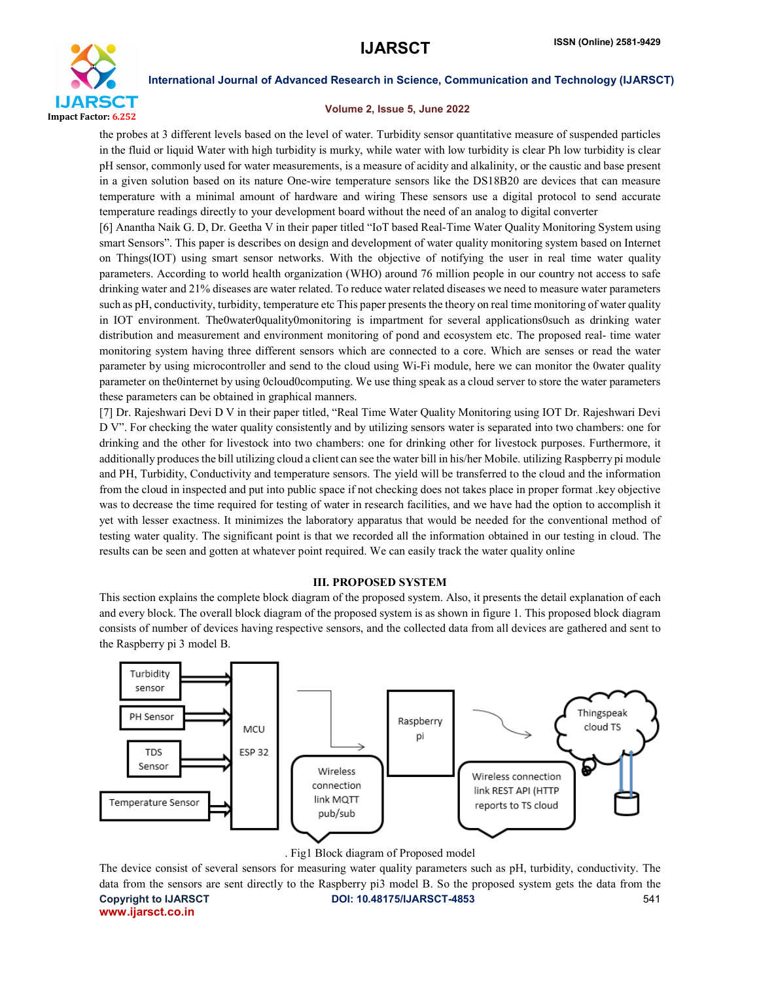

# Volume 2, Issue 5, June 2022

the probes at 3 different levels based on the level of water. Turbidity sensor quantitative measure of suspended particles in the fluid or liquid Water with high turbidity is murky, while water with low turbidity is clear Ph low turbidity is clear pH sensor, commonly used for water measurements, is a measure of acidity and alkalinity, or the caustic and base present in a given solution based on its nature One-wire temperature sensors like the DS18B20 are devices that can measure temperature with a minimal amount of hardware and wiring These sensors use a digital protocol to send accurate temperature readings directly to your development board without the need of an analog to digital converter

[6] Anantha Naik G. D, Dr. Geetha V in their paper titled "IoT based Real-Time Water Quality Monitoring System using smart Sensors". This paper is describes on design and development of water quality monitoring system based on Internet on Things(IOT) using smart sensor networks. With the objective of notifying the user in real time water quality parameters. According to world health organization (WHO) around 76 million people in our country not access to safe drinking water and 21% diseases are water related. To reduce water related diseases we need to measure water parameters such as pH, conductivity, turbidity, temperature etc This paper presents the theory on real time monitoring of water quality in IOT environment. The0water0quality0monitoring is impartment for several applications0such as drinking water distribution and measurement and environment monitoring of pond and ecosystem etc. The proposed real- time water monitoring system having three different sensors which are connected to a core. Which are senses or read the water parameter by using microcontroller and send to the cloud using Wi-Fi module, here we can monitor the 0water quality parameter on the0internet by using 0cloud0computing. We use thing speak as a cloud server to store the water parameters these parameters can be obtained in graphical manners.

[7] Dr. Rajeshwari Devi D V in their paper titled, "Real Time Water Quality Monitoring using IOT Dr. Rajeshwari Devi D V". For checking the water quality consistently and by utilizing sensors water is separated into two chambers: one for drinking and the other for livestock into two chambers: one for drinking other for livestock purposes. Furthermore, it additionally produces the bill utilizing cloud a client can see the water bill in his/her Mobile. utilizing Raspberry pi module and PH, Turbidity, Conductivity and temperature sensors. The yield will be transferred to the cloud and the information from the cloud in inspected and put into public space if not checking does not takes place in proper format .key objective was to decrease the time required for testing of water in research facilities, and we have had the option to accomplish it yet with lesser exactness. It minimizes the laboratory apparatus that would be needed for the conventional method of testing water quality. The significant point is that we recorded all the information obtained in our testing in cloud. The results can be seen and gotten at whatever point required. We can easily track the water quality online

# III. PROPOSED SYSTEM

This section explains the complete block diagram of the proposed system. Also, it presents the detail explanation of each and every block. The overall block diagram of the proposed system is as shown in figure 1. This proposed block diagram consists of number of devices having respective sensors, and the collected data from all devices are gathered and sent to the Raspberry pi 3 model B.



# . Fig1 Block diagram of Proposed model

Copyright to IJARSCT DOI: 10.48175/IJARSCT-4853 541 www.ijarsct.co.in The device consist of several sensors for measuring water quality parameters such as pH, turbidity, conductivity. The data from the sensors are sent directly to the Raspberry pi3 model B. So the proposed system gets the data from the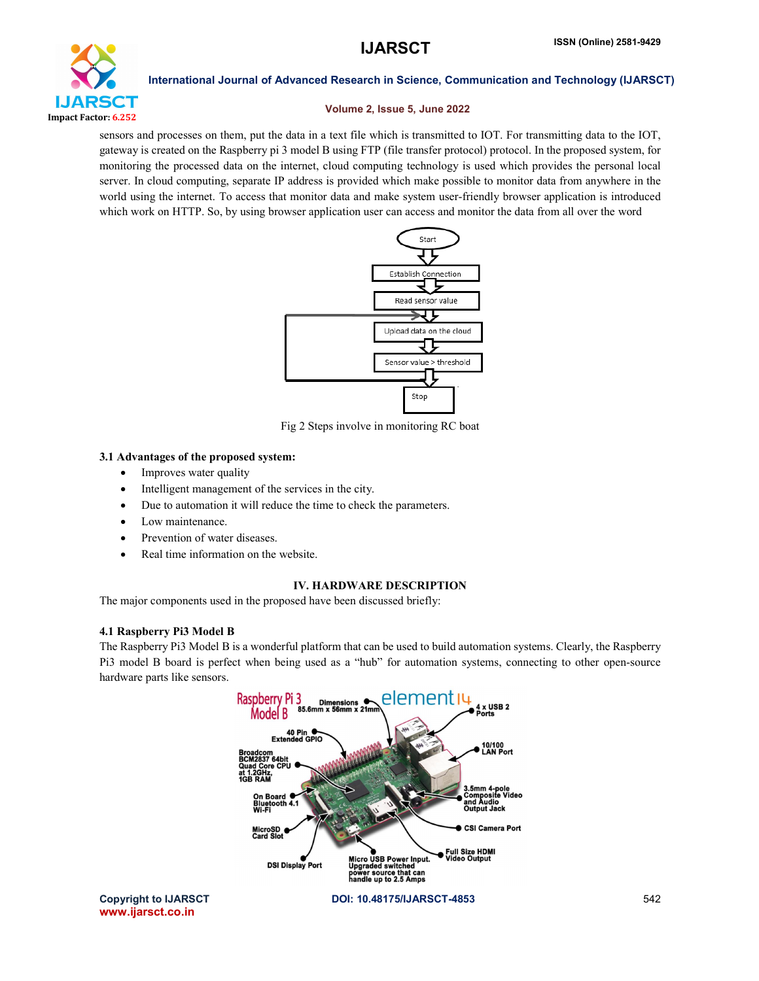

# Volume 2, Issue 5, June 2022

sensors and processes on them, put the data in a text file which is transmitted to IOT. For transmitting data to the IOT, gateway is created on the Raspberry pi 3 model B using FTP (file transfer protocol) protocol. In the proposed system, for monitoring the processed data on the internet, cloud computing technology is used which provides the personal local server. In cloud computing, separate IP address is provided which make possible to monitor data from anywhere in the world using the internet. To access that monitor data and make system user-friendly browser application is introduced which work on HTTP. So, by using browser application user can access and monitor the data from all over the word



Fig 2 Steps involve in monitoring RC boat

# 3.1 Advantages of the proposed system:

- Improves water quality
- Intelligent management of the services in the city.
- Due to automation it will reduce the time to check the parameters.
- Low maintenance.
- Prevention of water diseases.
- Real time information on the website.

# IV. HARDWARE DESCRIPTION

The major components used in the proposed have been discussed briefly:

# 4.1 Raspberry Pi3 Model B

The Raspberry Pi3 Model B is a wonderful platform that can be used to build automation systems. Clearly, the Raspberry Pi3 model B board is perfect when being used as a "hub" for automation systems, connecting to other open-source hardware parts like sensors.

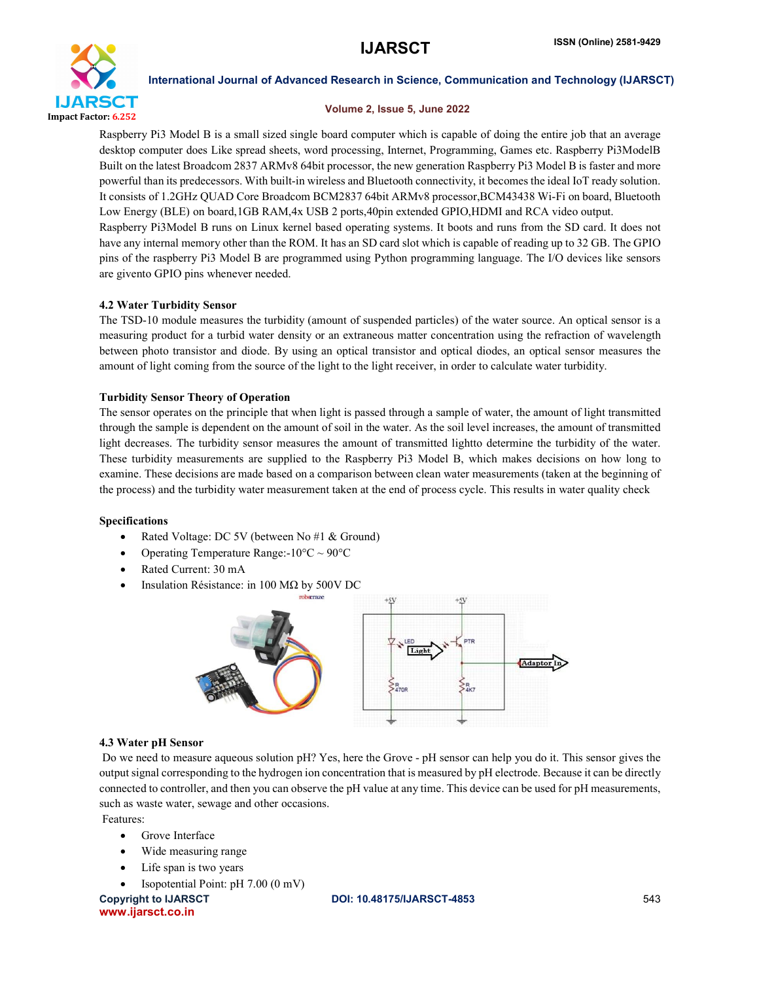

# Volume 2, Issue 5, June 2022

Raspberry Pi3 Model B is a small sized single board computer which is capable of doing the entire job that an average desktop computer does Like spread sheets, word processing, Internet, Programming, Games etc. Raspberry Pi3ModelB Built on the latest Broadcom 2837 ARMv8 64bit processor, the new generation Raspberry Pi3 Model B is faster and more powerful than its predecessors. With built-in wireless and Bluetooth connectivity, it becomes the ideal IoT ready solution. It consists of 1.2GHz QUAD Core Broadcom BCM2837 64bit ARMv8 processor,BCM43438 Wi-Fi on board, Bluetooth Low Energy (BLE) on board,1GB RAM,4x USB 2 ports,40pin extended GPIO,HDMI and RCA video output. Raspberry Pi3Model B runs on Linux kernel based operating systems. It boots and runs from the SD card. It does not have any internal memory other than the ROM. It has an SD card slot which is capable of reading up to 32 GB. The GPIO pins of the raspberry Pi3 Model B are programmed using Python programming language. The I/O devices like sensors are givento GPIO pins whenever needed.

# 4.2 Water Turbidity Sensor

The TSD-10 module measures the turbidity (amount of suspended particles) of the water source. An optical sensor is a measuring product for a turbid water density or an extraneous matter concentration using the refraction of wavelength between photo transistor and diode. By using an optical transistor and optical diodes, an optical sensor measures the amount of light coming from the source of the light to the light receiver, in order to calculate water turbidity.

# Turbidity Sensor Theory of Operation

The sensor operates on the principle that when light is passed through a sample of water, the amount of light transmitted through the sample is dependent on the amount of soil in the water. As the soil level increases, the amount of transmitted light decreases. The turbidity sensor measures the amount of transmitted lightto determine the turbidity of the water. These turbidity measurements are supplied to the Raspberry Pi3 Model B, which makes decisions on how long to examine. These decisions are made based on a comparison between clean water measurements (taken at the beginning of the process) and the turbidity water measurement taken at the end of process cycle. This results in water quality check

# Specifications

- Rated Voltage: DC 5V (between No #1 & Ground)
- Operating Temperature Range:- $10^{\circ}$ C ~ 90°C
- Rated Current: 30 mA
- Insulation Résistance: in 100 MΩ by 500V DC



# 4.3 Water pH Sensor

Do we need to measure aqueous solution pH? Yes, here the Grove - pH sensor can help you do it. This sensor gives the output signal corresponding to the hydrogen ion concentration that is measured by pH electrode. Because it can be directly connected to controller, and then you can observe the pH value at any time. This device can be used for pH measurements, such as waste water, sewage and other occasions.

Features:

- **Grove Interface**
- Wide measuring range
- Life span is two years
- Isopotential Point: pH 7.00 (0 mV)

Copyright to IJARSCT DOI: 10.48175/IJARSCT-4853 543 www.ijarsct.co.in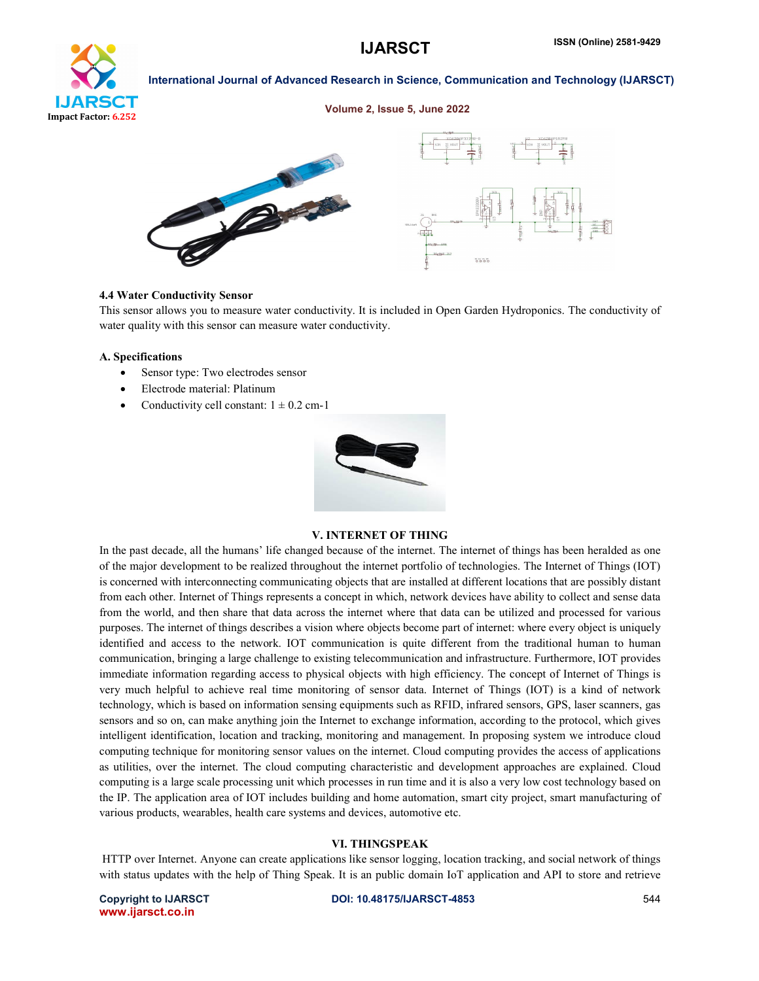

### Volume 2, Issue 5, June 2022



### 4.4 Water Conductivity Sensor

This sensor allows you to measure water conductivity. It is included in Open Garden Hydroponics. The conductivity of water quality with this sensor can measure water conductivity.

### A. Specifications

- Sensor type: Two electrodes sensor
- Electrode material: Platinum
- Conductivity cell constant:  $1 \pm 0.2$  cm-1



### V. INTERNET OF THING

In the past decade, all the humans' life changed because of the internet. The internet of things has been heralded as one of the major development to be realized throughout the internet portfolio of technologies. The Internet of Things (IOT) is concerned with interconnecting communicating objects that are installed at different locations that are possibly distant from each other. Internet of Things represents a concept in which, network devices have ability to collect and sense data from the world, and then share that data across the internet where that data can be utilized and processed for various purposes. The internet of things describes a vision where objects become part of internet: where every object is uniquely identified and access to the network. IOT communication is quite different from the traditional human to human communication, bringing a large challenge to existing telecommunication and infrastructure. Furthermore, IOT provides immediate information regarding access to physical objects with high efficiency. The concept of Internet of Things is very much helpful to achieve real time monitoring of sensor data. Internet of Things (IOT) is a kind of network technology, which is based on information sensing equipments such as RFID, infrared sensors, GPS, laser scanners, gas sensors and so on, can make anything join the Internet to exchange information, according to the protocol, which gives intelligent identification, location and tracking, monitoring and management. In proposing system we introduce cloud computing technique for monitoring sensor values on the internet. Cloud computing provides the access of applications as utilities, over the internet. The cloud computing characteristic and development approaches are explained. Cloud computing is a large scale processing unit which processes in run time and it is also a very low cost technology based on the IP. The application area of IOT includes building and home automation, smart city project, smart manufacturing of various products, wearables, health care systems and devices, automotive etc.

# VI. THINGSPEAK

HTTP over Internet. Anyone can create applications like sensor logging, location tracking, and social network of things with status updates with the help of Thing Speak. It is an public domain IoT application and API to store and retrieve

www.ijarsct.co.in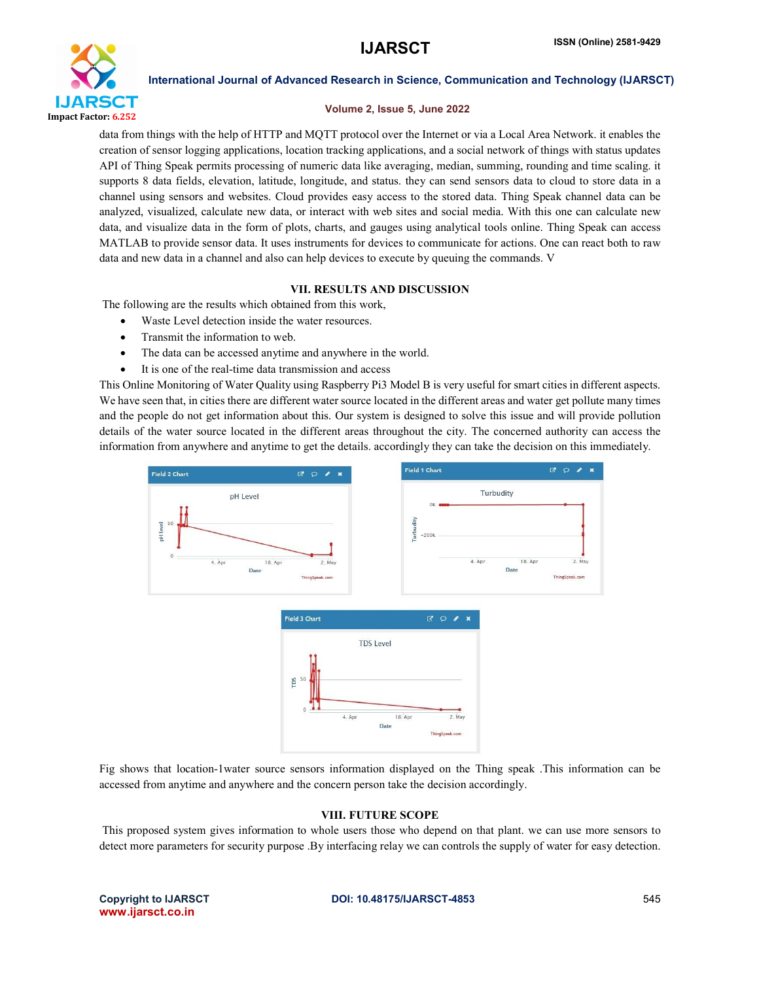

# Volume 2, Issue 5, June 2022

data from things with the help of HTTP and MQTT protocol over the Internet or via a Local Area Network. it enables the creation of sensor logging applications, location tracking applications, and a social network of things with status updates API of Thing Speak permits processing of numeric data like averaging, median, summing, rounding and time scaling. it supports 8 data fields, elevation, latitude, longitude, and status. they can send sensors data to cloud to store data in a channel using sensors and websites. Cloud provides easy access to the stored data. Thing Speak channel data can be analyzed, visualized, calculate new data, or interact with web sites and social media. With this one can calculate new data, and visualize data in the form of plots, charts, and gauges using analytical tools online. Thing Speak can access MATLAB to provide sensor data. It uses instruments for devices to communicate for actions. One can react both to raw data and new data in a channel and also can help devices to execute by queuing the commands. V

# VII. RESULTS AND DISCUSSION

The following are the results which obtained from this work,

- Waste Level detection inside the water resources.
- Transmit the information to web.
- The data can be accessed anytime and anywhere in the world.
- It is one of the real-time data transmission and access

This Online Monitoring of Water Quality using Raspberry Pi3 Model B is very useful for smart cities in different aspects. We have seen that, in cities there are different water source located in the different areas and water get pollute many times and the people do not get information about this. Our system is designed to solve this issue and will provide pollution details of the water source located in the different areas throughout the city. The concerned authority can access the information from anywhere and anytime to get the details. accordingly they can take the decision on this immediately.



Fig shows that location-1water source sensors information displayed on the Thing speak .This information can be accessed from anytime and anywhere and the concern person take the decision accordingly.

# VIII. FUTURE SCOPE

This proposed system gives information to whole users those who depend on that plant. we can use more sensors to detect more parameters for security purpose .By interfacing relay we can controls the supply of water for easy detection.

www.ijarsct.co.in

# Copyright to IJARSCT **DOI: 10.48175/IJARSCT-4853** 545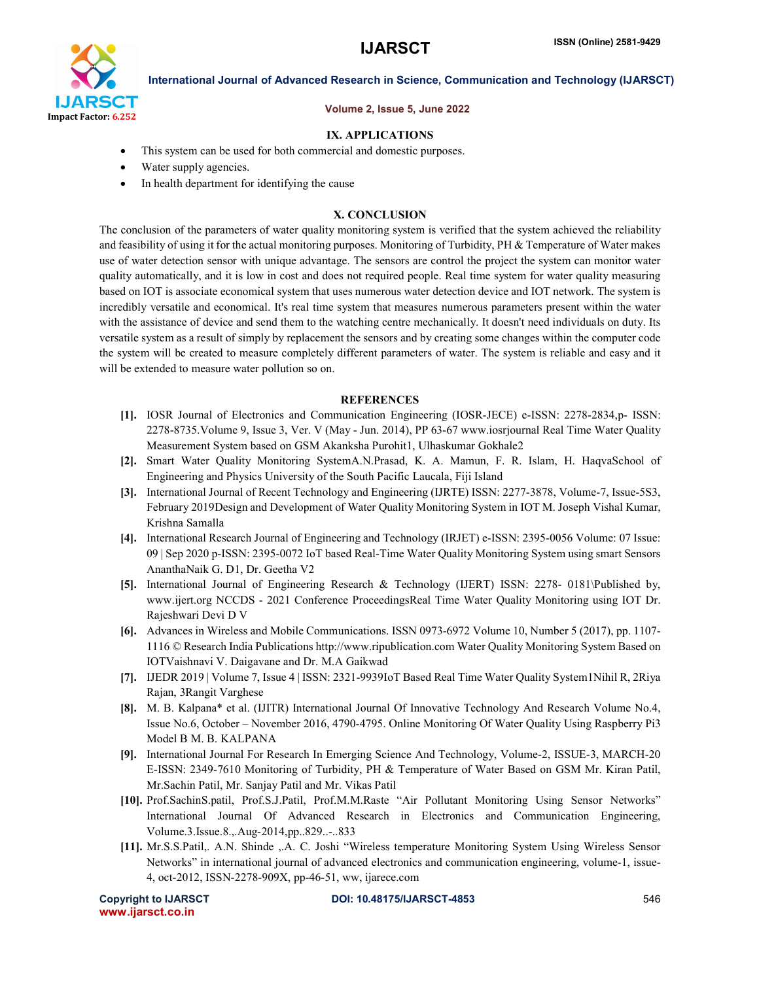

# Volume 2, Issue 5, June 2022

# IX. APPLICATIONS

- This system can be used for both commercial and domestic purposes.
- Water supply agencies.
- In health department for identifying the cause

# X. CONCLUSION

The conclusion of the parameters of water quality monitoring system is verified that the system achieved the reliability and feasibility of using it for the actual monitoring purposes. Monitoring of Turbidity,  $PH &$  Temperature of Water makes use of water detection sensor with unique advantage. The sensors are control the project the system can monitor water quality automatically, and it is low in cost and does not required people. Real time system for water quality measuring based on IOT is associate economical system that uses numerous water detection device and IOT network. The system is incredibly versatile and economical. It's real time system that measures numerous parameters present within the water with the assistance of device and send them to the watching centre mechanically. It doesn't need individuals on duty. Its versatile system as a result of simply by replacement the sensors and by creating some changes within the computer code the system will be created to measure completely different parameters of water. The system is reliable and easy and it will be extended to measure water pollution so on.

### **REFERENCES**

- [1]. IOSR Journal of Electronics and Communication Engineering (IOSR-JECE) e-ISSN: 2278-2834,p- ISSN: 2278-8735.Volume 9, Issue 3, Ver. V (May - Jun. 2014), PP 63-67 www.iosrjournal Real Time Water Quality Measurement System based on GSM Akanksha Purohit1, Ulhaskumar Gokhale2
- [2]. Smart Water Quality Monitoring SystemA.N.Prasad, K. A. Mamun, F. R. Islam, H. HaqvaSchool of Engineering and Physics University of the South Pacific Laucala, Fiji Island
- [3]. International Journal of Recent Technology and Engineering (IJRTE) ISSN: 2277-3878, Volume-7, Issue-5S3, February 2019Design and Development of Water Quality Monitoring System in IOT M. Joseph Vishal Kumar, Krishna Samalla
- [4]. International Research Journal of Engineering and Technology (IRJET) e-ISSN: 2395-0056 Volume: 07 Issue: 09 | Sep 2020 p-ISSN: 2395-0072 IoT based Real-Time Water Quality Monitoring System using smart Sensors AnanthaNaik G. D1, Dr. Geetha V2
- [5]. International Journal of Engineering Research & Technology (IJERT) ISSN: 2278- 0181\Published by, www.ijert.org NCCDS - 2021 Conference ProceedingsReal Time Water Quality Monitoring using IOT Dr. Rajeshwari Devi D V
- [6]. Advances in Wireless and Mobile Communications. ISSN 0973-6972 Volume 10, Number 5 (2017), pp. 1107- 1116 © Research India Publications http://www.ripublication.com Water Quality Monitoring System Based on IOTVaishnavi V. Daigavane and Dr. M.A Gaikwad
- [7]. IJEDR 2019 | Volume 7, Issue 4 | ISSN: 2321-9939IoT Based Real Time Water Quality System1Nihil R, 2Riya Rajan, 3Rangit Varghese
- [8]. M. B. Kalpana\* et al. (IJITR) International Journal Of Innovative Technology And Research Volume No.4, Issue No.6, October – November 2016, 4790-4795. Online Monitoring Of Water Quality Using Raspberry Pi3 Model B M. B. KALPANA
- [9]. International Journal For Research In Emerging Science And Technology, Volume-2, ISSUE-3, MARCH-20 E-ISSN: 2349-7610 Monitoring of Turbidity, PH & Temperature of Water Based on GSM Mr. Kiran Patil, Mr.Sachin Patil, Mr. Sanjay Patil and Mr. Vikas Patil
- [10]. Prof.SachinS.patil, Prof.S.J.Patil, Prof.M.M.Raste "Air Pollutant Monitoring Using Sensor Networks" International Journal Of Advanced Research in Electronics and Communication Engineering, Volume.3.Issue.8.,.Aug-2014,pp..829..-..833
- [11]. Mr.S.S.Patil,. A.N. Shinde ,.A. C. Joshi "Wireless temperature Monitoring System Using Wireless Sensor Networks" in international journal of advanced electronics and communication engineering, volume-1, issue-4, oct-2012, ISSN-2278-909X, pp-46-51, ww, ijarece.com